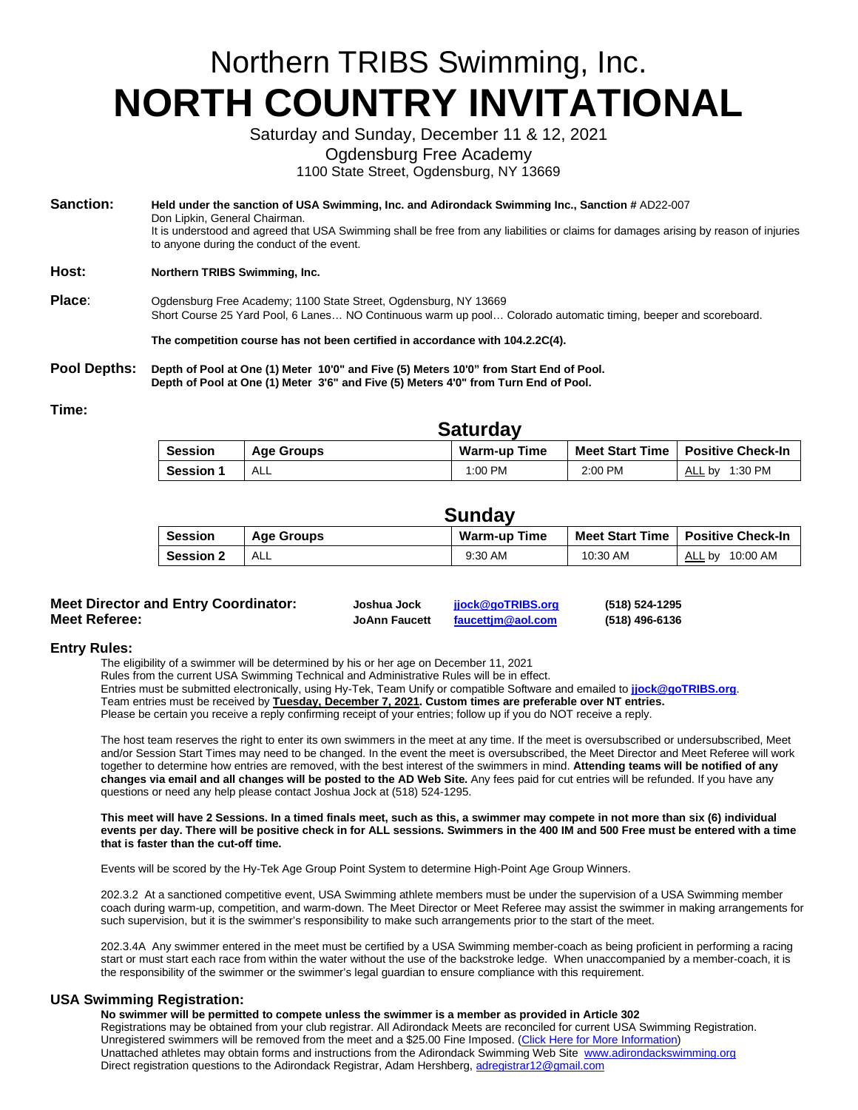# Northern TRIBS Swimming, Inc. **NORTH COUNTRY INVITATIONAL**

Saturday and Sunday, December 11 & 12, 2021

Ogdensburg Free Academy

1100 State Street, Ogdensburg, NY 13669

**Sanction: Held under the sanction of USA Swimming, Inc. and Adirondack Swimming Inc., Sanction #** AD22-007 Don Lipkin, General Chairman. It is understood and agreed that USA Swimming shall be free from any liabilities or claims for damages arising by reason of injuries to anyone during the conduct of the event. **Host: Northern TRIBS Swimming, Inc.**

Place: Ogdensburg Free Academy; 1100 State Street, Ogdensburg, NY 13669 Short Course 25 Yard Pool, 6 Lanes… NO Continuous warm up pool… Colorado automatic timing, beeper and scoreboard.

**The competition course has not been certified in accordance with 104.2.2C(4).**

**Pool Depths: Depth of Pool at One (1) Meter 10'0" and Five (5) Meters 10'0" from Start End of Pool. Depth of Pool at One (1) Meter 3'6" and Five (5) Meters 4'0" from Turn End of Pool.**

#### **Time:**

| <b>Saluluay</b>  |            |                     |         |                                     |
|------------------|------------|---------------------|---------|-------------------------------------|
| <b>Session</b>   | Age Groups | <b>Warm-up Time</b> |         | Meet Start Time   Positive Check-In |
| <b>Session 1</b> | ALL        | 1:00 PM             | 2:00 PM | 1:30 PM<br>ALL by                   |

**Saturday**

| Sundav |  |
|--------|--|
|--------|--|

| Session          | Age Groups | <b>Warm-up Time</b> | <b>Meet Start Time</b> | <b>Positive Check-In</b> |
|------------------|------------|---------------------|------------------------|--------------------------|
| <b>Session 2</b> | ALL        | 9:30 AM             | 10:30 AM               | ALL by 10:00 AM          |

| <b>Meet Director and Entry Coordinator:</b> | Joshua Jock          | jjock@goTRIBS.org | (518) 524-1295 |
|---------------------------------------------|----------------------|-------------------|----------------|
| <b>Meet Referee:</b>                        | <b>JoAnn Faucett</b> | faucettim@aol.com | (518) 496-6136 |

# **Entry Rules:**

The eligibility of a swimmer will be determined by his or her age on December 11, 2021

Rules from the current USA Swimming Technical and Administrative Rules will be in effect.

Entries must be submitted electronically, using Hy-Tek, Team Unify or compatible Software and emailed to **[jjock@goTRIBS.org](mailto:jjock@goTRIBS.org)**.

Team entries must be received by **Tuesday, December 7, 2021. Custom times are preferable over NT entries.**

Please be certain you receive a reply confirming receipt of your entries; follow up if you do NOT receive a reply.

The host team reserves the right to enter its own swimmers in the meet at any time. If the meet is oversubscribed or undersubscribed, Meet and/or Session Start Times may need to be changed. In the event the meet is oversubscribed, the Meet Director and Meet Referee will work together to determine how entries are removed, with the best interest of the swimmers in mind. **Attending teams will be notified of any changes via email and all changes will be posted to the AD Web Site.** Any fees paid for cut entries will be refunded. If you have any questions or need any help please contact Joshua Jock at (518) 524-1295.

#### **This meet will have 2 Sessions. In a timed finals meet, such as this, a swimmer may compete in not more than six (6) individual events per day. There will be positive check in for ALL sessions. Swimmers in the 400 IM and 500 Free must be entered with a time that is faster than the cut-off time.**

Events will be scored by the Hy-Tek Age Group Point System to determine High-Point Age Group Winners.

202.3.2 At a sanctioned competitive event, USA Swimming athlete members must be under the supervision of a USA Swimming member coach during warm-up, competition, and warm-down. The Meet Director or Meet Referee may assist the swimmer in making arrangements for such supervision, but it is the swimmer's responsibility to make such arrangements prior to the start of the meet.

202.3.4A Any swimmer entered in the meet must be certified by a USA Swimming member-coach as being proficient in performing a racing start or must start each race from within the water without the use of the backstroke ledge. When unaccompanied by a member-coach, it is the responsibility of the swimmer or the swimmer's legal guardian to ensure compliance with this requirement.

# **USA Swimming Registration:**

**No swimmer will be permitted to compete unless the swimmer is a member as provided in Article 302** Registrations may be obtained from your club registrar. All Adirondack Meets are reconciled for current USA Swimming Registration. Unregistered swimmers will be removed from the meet and a \$25.00 Fine Imposed. (Click Here for More Information) Unattached athletes may obtain forms and instructions from the Adirondack Swimming Web Site [www.adirondackswimming.org](http://www.adirondackswimming.org/) Direct registration questions to the Adirondack Registrar, Adam Hershberg[, adregistrar12@gmail.com](mailto:adregistrar12@gmail.com)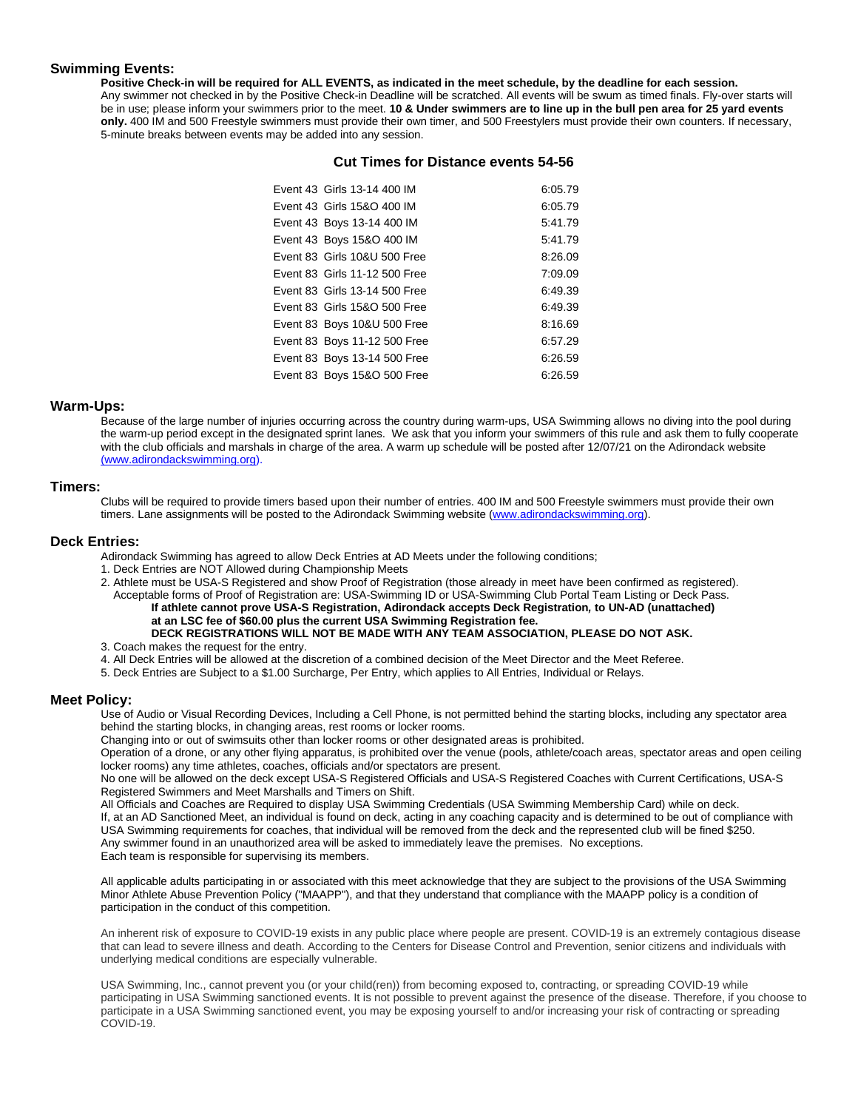# **Swimming Events:**

**Positive Check-in will be required for ALL EVENTS, as indicated in the meet schedule, by the deadline for each session.** Any swimmer not checked in by the Positive Check-in Deadline will be scratched. All events will be swum as timed finals. Fly-over starts will be in use; please inform your swimmers prior to the meet. **10 & Under swimmers are to line up in the bull pen area for 25 yard events only.** 400 IM and 500 Freestyle swimmers must provide their own timer, and 500 Freestylers must provide their own counters. If necessary, 5-minute breaks between events may be added into any session.

### **Cut Times for Distance events 54-56**

| Event 43 Girls 13-14 400 IM   | 6:05.79 |
|-------------------------------|---------|
| Event 43 Girls 15&O 400 IM    | 6:05.79 |
| Event 43 Boys 13-14 400 IM    | 5:41.79 |
| Event 43 Boys 15&O 400 IM     | 5:41.79 |
| Event 83 Girls 10&U 500 Free  | 8:26.09 |
| Event 83 Girls 11-12 500 Free | 7:09.09 |
| Event 83 Girls 13-14 500 Free | 6:49.39 |
| Event 83 Girls 15&O 500 Free  | 6:49.39 |
| Event 83 Boys 10&U 500 Free   | 8:16.69 |
| Event 83 Boys 11-12 500 Free  | 6:57.29 |
| Event 83 Boys 13-14 500 Free  | 6:26.59 |
| Event 83 Boys 15&O 500 Free   | 6:26.59 |
|                               |         |

# **Warm-Ups:**

Because of the large number of injuries occurring across the country during warm-ups, USA Swimming allows no diving into the pool during the warm-up period except in the designated sprint lanes. We ask that you inform your swimmers of this rule and ask them to fully cooperate with the club officials and marshals in charge of the area. A warm up schedule will be posted after 12/07/21 on the Adirondack website [\(www.adirondackswimming.org\)](http://(www.adirondackswimming.org/).

#### **Timers:**

Clubs will be required to provide timers based upon their number of entries. 400 IM and 500 Freestyle swimmers must provide their own timers. Lane assignments will be posted to the Adirondack Swimming website [\(www.adirondackswimming.org\)](http://www.adirondackswimming.org/).

#### **Deck Entries:**

Adirondack Swimming has agreed to allow Deck Entries at AD Meets under the following conditions;

- 1. Deck Entries are NOT Allowed during Championship Meets
- 2. Athlete must be USA-S Registered and show Proof of Registration (those already in meet have been confirmed as registered). Acceptable forms of Proof of Registration are: USA-Swimming ID or USA-Swimming Club Portal Team Listing or Deck Pass.

**If athlete cannot prove USA-S Registration, Adirondack accepts Deck Registration***,* **to UN-AD (unattached) at an LSC fee of \$60.00 plus the current USA Swimming Registration fee. DECK REGISTRATIONS WILL NOT BE MADE WITH ANY TEAM ASSOCIATION, PLEASE DO NOT ASK.**

# 3. Coach makes the request for the entry.

- 4. All Deck Entries will be allowed at the discretion of a combined decision of the Meet Director and the Meet Referee.
- 5. Deck Entries are Subject to a \$1.00 Surcharge, Per Entry, which applies to All Entries, Individual or Relays.

# **Meet Policy:**

Use of Audio or Visual Recording Devices, Including a Cell Phone, is not permitted behind the starting blocks, including any spectator area behind the starting blocks, in changing areas, rest rooms or locker rooms.

Changing into or out of swimsuits other than locker rooms or other designated areas is prohibited.

Operation of a drone, or any other flying apparatus, is prohibited over the venue (pools, athlete/coach areas, spectator areas and open ceiling locker rooms) any time athletes, coaches, officials and/or spectators are present.

No one will be allowed on the deck except USA-S Registered Officials and USA-S Registered Coaches with Current Certifications, USA-S Registered Swimmers and Meet Marshalls and Timers on Shift.

All Officials and Coaches are Required to display USA Swimming Credentials (USA Swimming Membership Card) while on deck. If, at an AD Sanctioned Meet, an individual is found on deck, acting in any coaching capacity and is determined to be out of compliance with USA Swimming requirements for coaches, that individual will be removed from the deck and the represented club will be fined \$250. Any swimmer found in an unauthorized area will be asked to immediately leave the premises. No exceptions. Each team is responsible for supervising its members.

All applicable adults participating in or associated with this meet acknowledge that they are subject to the provisions of the USA Swimming Minor Athlete Abuse Prevention Policy ("MAAPP"), and that they understand that compliance with the MAAPP policy is a condition of participation in the conduct of this competition.

An inherent risk of exposure to COVID-19 exists in any public place where people are present. COVID-19 is an extremely contagious disease that can lead to severe illness and death. According to the Centers for Disease Control and Prevention, senior citizens and individuals with underlying medical conditions are especially vulnerable.

USA Swimming, Inc., cannot prevent you (or your child(ren)) from becoming exposed to, contracting, or spreading COVID-19 while participating in USA Swimming sanctioned events. It is not possible to prevent against the presence of the disease. Therefore, if you choose to participate in a USA Swimming sanctioned event, you may be exposing yourself to and/or increasing your risk of contracting or spreading COVID-19.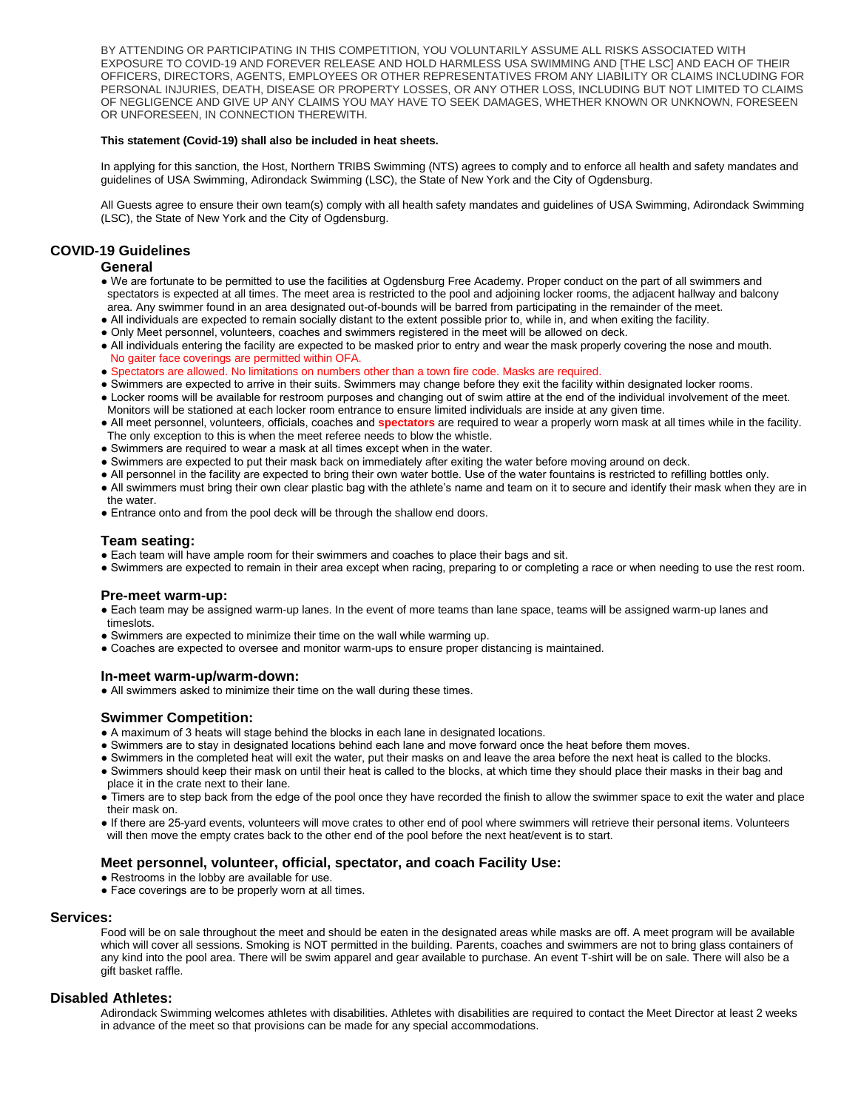BY ATTENDING OR PARTICIPATING IN THIS COMPETITION, YOU VOLUNTARILY ASSUME ALL RISKS ASSOCIATED WITH EXPOSURE TO COVID-19 AND FOREVER RELEASE AND HOLD HARMLESS USA SWIMMING AND [THE LSC] AND EACH OF THEIR OFFICERS, DIRECTORS, AGENTS, EMPLOYEES OR OTHER REPRESENTATIVES FROM ANY LIABILITY OR CLAIMS INCLUDING FOR PERSONAL INJURIES, DEATH, DISEASE OR PROPERTY LOSSES, OR ANY OTHER LOSS, INCLUDING BUT NOT LIMITED TO CLAIMS OF NEGLIGENCE AND GIVE UP ANY CLAIMS YOU MAY HAVE TO SEEK DAMAGES, WHETHER KNOWN OR UNKNOWN, FORESEEN OR UNFORESEEN, IN CONNECTION THEREWITH.

#### **This statement (Covid-19) shall also be included in heat sheets.**

In applying for this sanction, the Host, Northern TRIBS Swimming (NTS) agrees to comply and to enforce all health and safety mandates and guidelines of USA Swimming, Adirondack Swimming (LSC), the State of New York and the City of Ogdensburg.

All Guests agree to ensure their own team(s) comply with all health safety mandates and guidelines of USA Swimming, Adirondack Swimming (LSC), the State of New York and the City of Ogdensburg.

### **COVID-19 Guidelines**

#### **General**

- We are fortunate to be permitted to use the facilities at Ogdensburg Free Academy. Proper conduct on the part of all swimmers and spectators is expected at all times. The meet area is restricted to the pool and adjoining locker rooms, the adjacent hallway and balcony area. Any swimmer found in an area designated out-of-bounds will be barred from participating in the remainder of the meet.
- All individuals are expected to remain socially distant to the extent possible prior to, while in, and when exiting the facility.
- Only Meet personnel, volunteers, coaches and swimmers registered in the meet will be allowed on deck.
- All individuals entering the facility are expected to be masked prior to entry and wear the mask properly covering the nose and mouth. No gaiter face coverings are permitted within OFA.
- Spectators are allowed. No limitations on numbers other than a town fire code. Masks are required.
- Swimmers are expected to arrive in their suits. Swimmers may change before they exit the facility within designated locker rooms.
- Locker rooms will be available for restroom purposes and changing out of swim attire at the end of the individual involvement of the meet. Monitors will be stationed at each locker room entrance to ensure limited individuals are inside at any given time.
- All meet personnel, volunteers, officials, coaches and **spectators** are required to wear a properly worn mask at all times while in the facility. The only exception to this is when the meet referee needs to blow the whistle.
- Swimmers are required to wear a mask at all times except when in the water.
- Swimmers are expected to put their mask back on immediately after exiting the water before moving around on deck.
- All personnel in the facility are expected to bring their own water bottle. Use of the water fountains is restricted to refilling bottles only.
- All swimmers must bring their own clear plastic bag with the athlete's name and team on it to secure and identify their mask when they are in the water.
- Entrance onto and from the pool deck will be through the shallow end doors.

# **Team seating:**

- Each team will have ample room for their swimmers and coaches to place their bags and sit.
- Swimmers are expected to remain in their area except when racing, preparing to or completing a race or when needing to use the rest room.

# **Pre-meet warm-up:**

- Each team may be assigned warm-up lanes. In the event of more teams than lane space, teams will be assigned warm-up lanes and timeslots.
- Swimmers are expected to minimize their time on the wall while warming up.
- Coaches are expected to oversee and monitor warm-ups to ensure proper distancing is maintained.

# **In-meet warm-up/warm-down:**

● All swimmers asked to minimize their time on the wall during these times.

# **Swimmer Competition:**

- A maximum of 3 heats will stage behind the blocks in each lane in designated locations.
- Swimmers are to stay in designated locations behind each lane and move forward once the heat before them moves.
- Swimmers in the completed heat will exit the water, put their masks on and leave the area before the next heat is called to the blocks.
- Swimmers should keep their mask on until their heat is called to the blocks, at which time they should place their masks in their bag and place it in the crate next to their lane.
- Timers are to step back from the edge of the pool once they have recorded the finish to allow the swimmer space to exit the water and place their mask on.
- If there are 25-yard events, volunteers will move crates to other end of pool where swimmers will retrieve their personal items. Volunteers will then move the empty crates back to the other end of the pool before the next heat/event is to start.

# **Meet personnel, volunteer, official, spectator, and coach Facility Use:**

- Restrooms in the lobby are available for use.
- Face coverings are to be properly worn at all times.

# **Services:**

Food will be on sale throughout the meet and should be eaten in the designated areas while masks are off. A meet program will be available which will cover all sessions. Smoking is NOT permitted in the building. Parents, coaches and swimmers are not to bring glass containers of any kind into the pool area. There will be swim apparel and gear available to purchase. An event T-shirt will be on sale. There will also be a gift basket raffle.

# **Disabled Athletes:**

Adirondack Swimming welcomes athletes with disabilities. Athletes with disabilities are required to contact the Meet Director at least 2 weeks in advance of the meet so that provisions can be made for any special accommodations.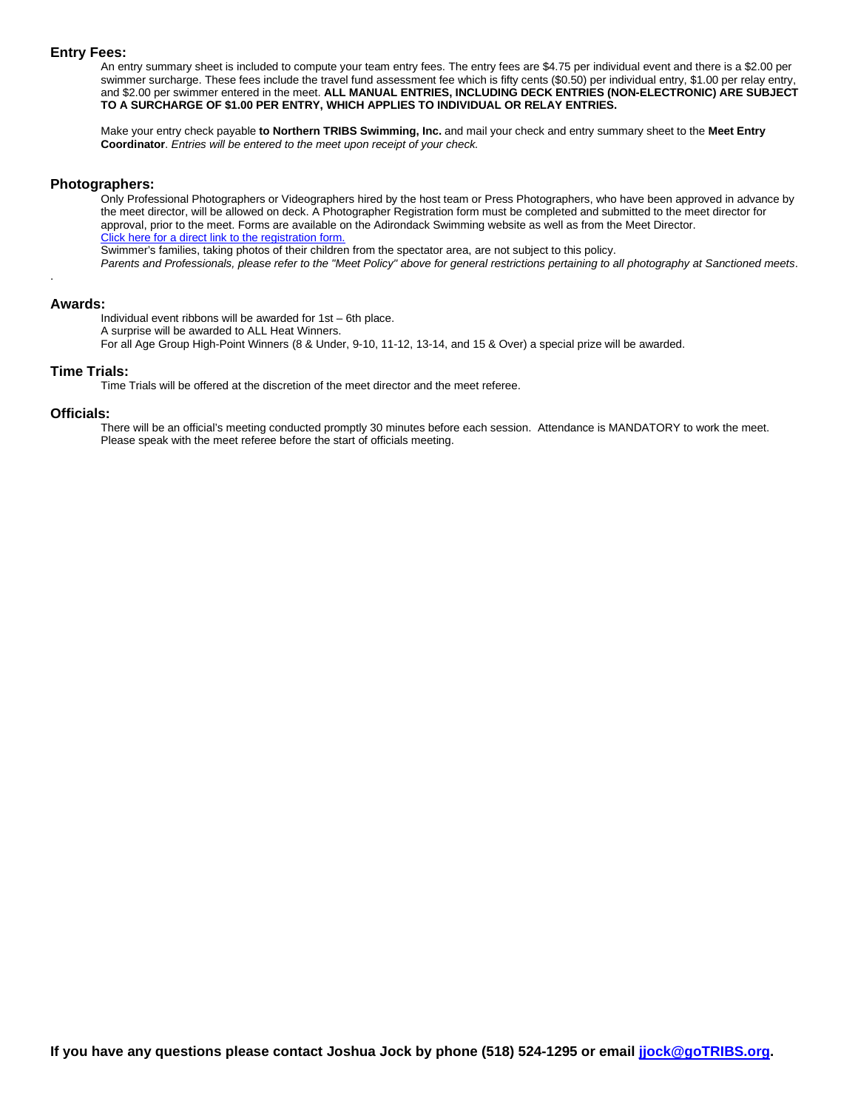#### **Entry Fees:**

An entry summary sheet is included to compute your team entry fees. The entry fees are \$4.75 per individual event and there is a \$2.00 per swimmer surcharge. These fees include the travel fund assessment fee which is fifty cents (\$0.50) per individual entry, \$1.00 per relay entry, and \$2.00 per swimmer entered in the meet. **ALL MANUAL ENTRIES, INCLUDING DECK ENTRIES (NON-ELECTRONIC) ARE SUBJECT TO A SURCHARGE OF \$1.00 PER ENTRY, WHICH APPLIES TO INDIVIDUAL OR RELAY ENTRIES.**

Make your entry check payable **to Northern TRIBS Swimming, Inc.** and mail your check and entry summary sheet to the **Meet Entry Coordinator**. *Entries will be entered to the meet upon receipt of your check.*

#### **Photographers:**

Only Professional Photographers or Videographers hired by the host team or Press Photographers, who have been approved in advance by the meet director, will be allowed on deck. A Photographer Registration form must be completed and submitted to the meet director for approval, prior to the meet. Forms are available on the Adirondack Swimming website as well as from the Meet Director. Click here for a direct link to the registration form. Swimmer's families, taking photos of their children from the spectator area, are not subject to this policy. *Parents and Professionals, please refer to the "Meet Policy" above for general restrictions pertaining to all photography at Sanctioned meets*.

### **Awards:**

.

Individual event ribbons will be awarded for 1st – 6th place. A surprise will be awarded to ALL Heat Winners.

For all Age Group High-Point Winners (8 & Under, 9-10, 11-12, 13-14, and 15 & Over) a special prize will be awarded.

#### **Time Trials:**

Time Trials will be offered at the discretion of the meet director and the meet referee.

#### **Officials:**

There will be an official's meeting conducted promptly 30 minutes before each session. Attendance is MANDATORY to work the meet. Please speak with the meet referee before the start of officials meeting.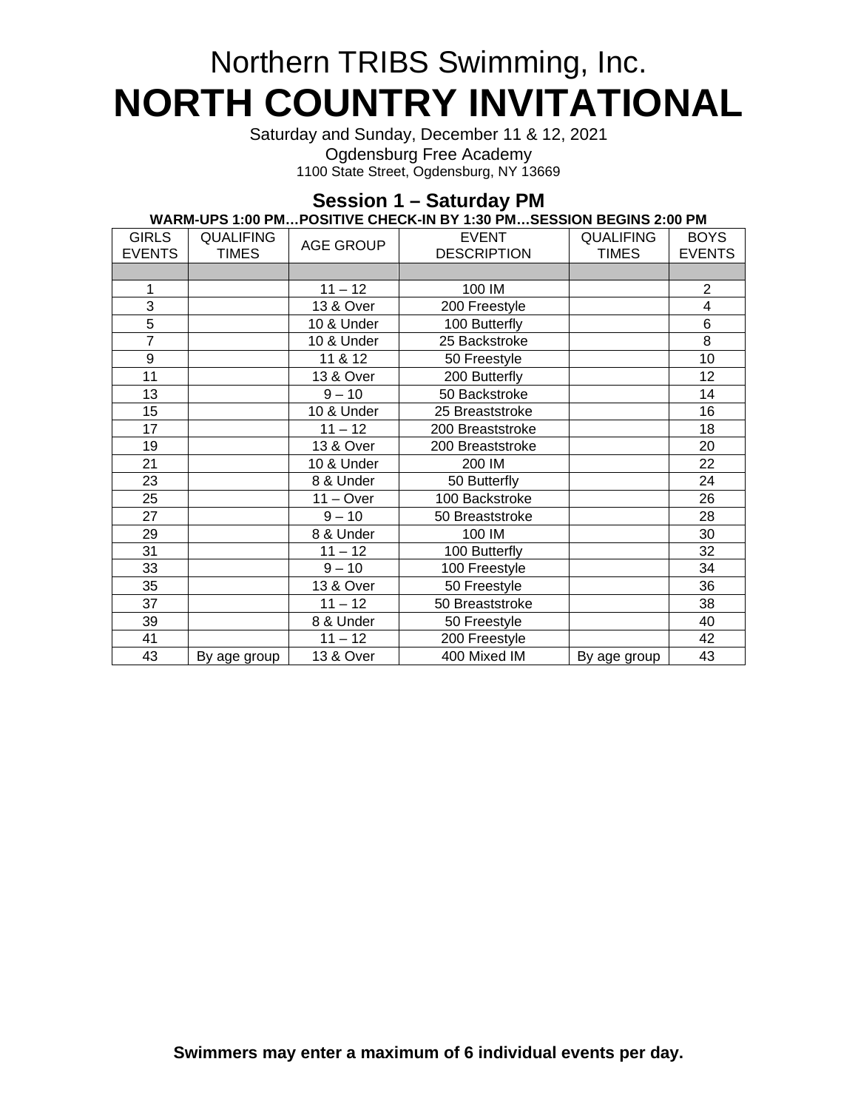# Northern TRIBS Swimming, Inc. **NORTH COUNTRY INVITATIONAL**

Saturday and Sunday, December 11 & 12, 2021 Ogdensburg Free Academy 1100 State Street, Ogdensburg, NY 13669

# **Session 1 – Saturday PM**

| WARM-UPS 1:00 PM…POSITIVE CHECK-IN BY 1:30 PM…SESSION BEGINS 2:00 PM |                  |                  |                    |                  |                |
|----------------------------------------------------------------------|------------------|------------------|--------------------|------------------|----------------|
| <b>GIRLS</b>                                                         | <b>QUALIFING</b> | <b>AGE GROUP</b> | <b>EVENT</b>       | <b>QUALIFING</b> | <b>BOYS</b>    |
| <b>EVENTS</b>                                                        | <b>TIMES</b>     |                  | <b>DESCRIPTION</b> | <b>TIMES</b>     | <b>EVENTS</b>  |
|                                                                      |                  |                  |                    |                  |                |
| 1                                                                    |                  | $11 - 12$        | 100 IM             |                  | $\overline{c}$ |
| 3                                                                    |                  | 13 & Over        | 200 Freestyle      |                  | 4              |
| $\overline{5}$                                                       |                  | 10 & Under       | 100 Butterfly      |                  | 6              |
| $\overline{7}$                                                       |                  | 10 & Under       | 25 Backstroke      |                  | 8              |
| $\boldsymbol{9}$                                                     |                  | 11 & 12          | 50 Freestyle       |                  | 10             |
| 11                                                                   |                  | 13 & Over        | 200 Butterfly      |                  | 12             |
| 13                                                                   |                  | $9 - 10$         | 50 Backstroke      |                  | 14             |
| 15                                                                   |                  | 10 & Under       | 25 Breaststroke    |                  | 16             |
| 17                                                                   |                  | $11 - 12$        | 200 Breaststroke   |                  | 18             |
| 19                                                                   |                  | 13 & Over        | 200 Breaststroke   |                  | 20             |
| 21                                                                   |                  | 10 & Under       | 200 IM             |                  | 22             |
| 23                                                                   |                  | 8 & Under        | 50 Butterfly       |                  | 24             |
| 25                                                                   |                  | $11 - Over$      | 100 Backstroke     |                  | 26             |
| 27                                                                   |                  | $9 - 10$         | 50 Breaststroke    |                  | 28             |
| 29                                                                   |                  | 8 & Under        | 100 IM             |                  | 30             |
| 31                                                                   |                  | $11 - 12$        | 100 Butterfly      |                  | 32             |
| 33                                                                   |                  | $9 - 10$         | 100 Freestyle      |                  | 34             |
| 35                                                                   |                  | 13 & Over        | 50 Freestyle       |                  | 36             |
| 37                                                                   |                  | $11 - 12$        | 50 Breaststroke    |                  | 38             |
| 39                                                                   |                  | 8 & Under        | 50 Freestyle       |                  | 40             |
| 41                                                                   |                  | $11 - 12$        | 200 Freestyle      |                  | 42             |
| 43                                                                   | By age group     | 13 & Over        | 400 Mixed IM       | By age group     | 43             |

# **WARM-UPS 1:00 PM…POSITIVE CHECK-IN BY 1:30 PM…SESSION BEGINS 2:00 PM**

**Swimmers may enter a maximum of 6 individual events per day.**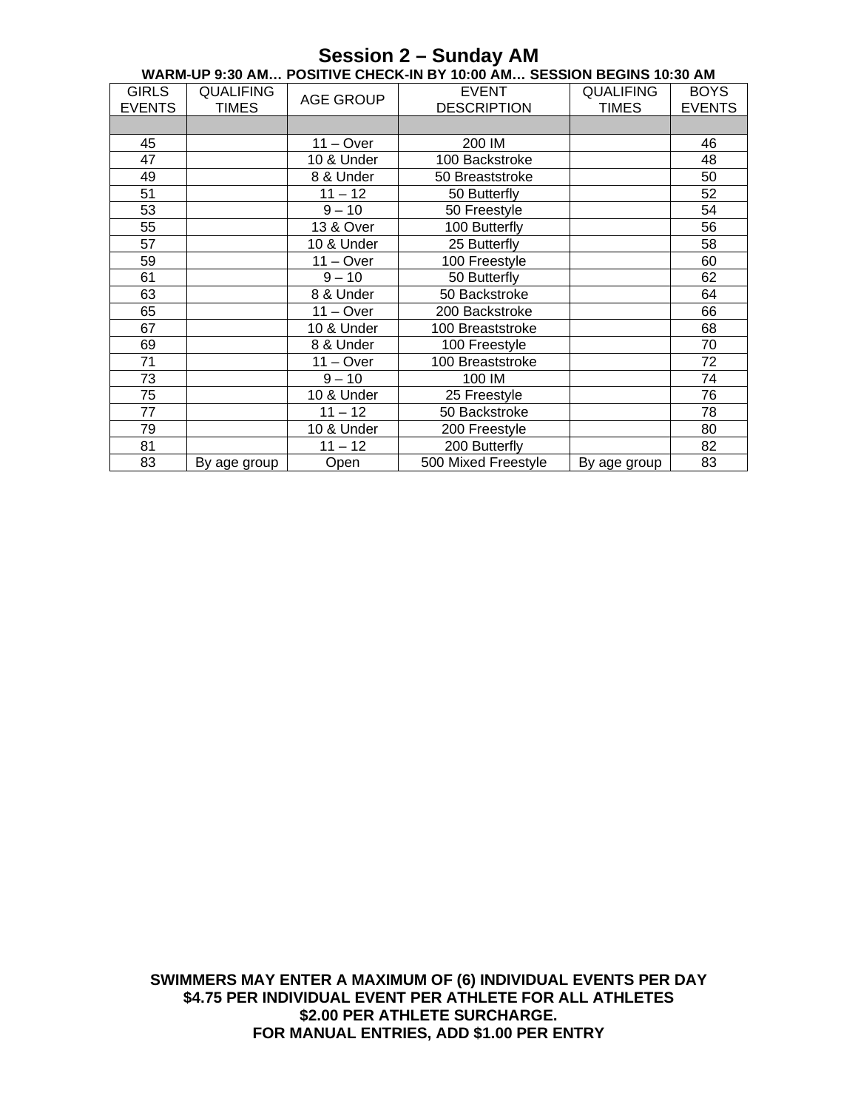| WARM-UP 9:30 AM POSITIVE CHECK-IN BY 10:00 AM SESSION BEGINS 10:30 AM |                                  |                  |                                    |                                  |                              |
|-----------------------------------------------------------------------|----------------------------------|------------------|------------------------------------|----------------------------------|------------------------------|
| <b>GIRLS</b><br><b>EVENTS</b>                                         | <b>QUALIFING</b><br><b>TIMES</b> | <b>AGE GROUP</b> | <b>EVENT</b><br><b>DESCRIPTION</b> | <b>QUALIFING</b><br><b>TIMES</b> | <b>BOYS</b><br><b>EVENTS</b> |
|                                                                       |                                  |                  |                                    |                                  |                              |
|                                                                       |                                  |                  |                                    |                                  |                              |
| 45                                                                    |                                  | $11 - Over$      | 200 IM                             |                                  | 46                           |
| 47                                                                    |                                  | 10 & Under       | 100 Backstroke                     |                                  | 48                           |
| 49                                                                    |                                  | 8 & Under        | 50 Breaststroke                    |                                  | 50                           |
| 51                                                                    |                                  | $11 - 12$        | 50 Butterfly                       |                                  | 52                           |
| 53                                                                    |                                  | $9 - 10$         | 50 Freestyle                       |                                  | 54                           |
| 55                                                                    |                                  | 13 & Over        | 100 Butterfly                      |                                  | 56                           |
| 57                                                                    |                                  | 10 & Under       | 25 Butterfly                       |                                  | 58                           |
| 59                                                                    |                                  | $11 - Over$      | 100 Freestyle                      |                                  | 60                           |
| 61                                                                    |                                  | $9 - 10$         | 50 Butterfly                       |                                  | 62                           |
| 63                                                                    |                                  | 8 & Under        | 50 Backstroke                      |                                  | 64                           |
| 65                                                                    |                                  | $11 - Over$      | 200 Backstroke                     |                                  | 66                           |
| 67                                                                    |                                  | 10 & Under       | 100 Breaststroke                   |                                  | 68                           |
| 69                                                                    |                                  | 8 & Under        | 100 Freestyle                      |                                  | 70                           |
| 71                                                                    |                                  | $11 - Over$      | 100 Breaststroke                   |                                  | 72                           |
| 73                                                                    |                                  | $9 - 10$         | 100 IM                             |                                  | 74                           |
| 75                                                                    |                                  | 10 & Under       | 25 Freestyle                       |                                  | 76                           |
| 77                                                                    |                                  | $11 - 12$        | 50 Backstroke                      |                                  | 78                           |
| 79                                                                    |                                  | 10 & Under       | 200 Freestyle                      |                                  | 80                           |
| 81                                                                    |                                  | $11 - 12$        | 200 Butterfly                      |                                  | 82                           |
| 83                                                                    | By age group                     | Open             | 500 Mixed Freestyle                | By age group                     | 83                           |

# **SWIMMERS MAY ENTER A MAXIMUM OF (6) INDIVIDUAL EVENTS PER DAY \$4.75 PER INDIVIDUAL EVENT PER ATHLETE FOR ALL ATHLETES \$2.00 PER ATHLETE SURCHARGE. FOR MANUAL ENTRIES, ADD \$1.00 PER ENTRY**

# **Session 2 – Sunday AM**